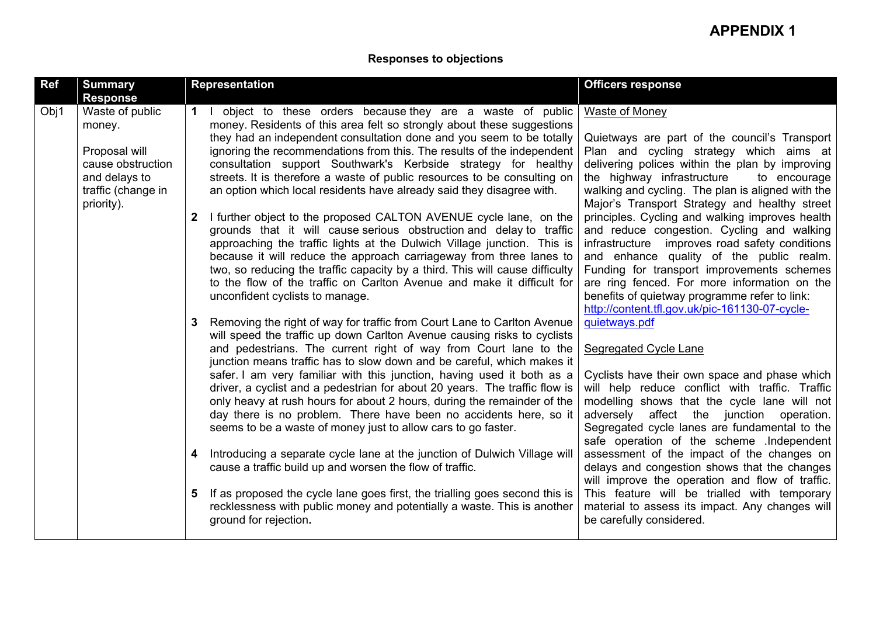## **Responses to objections**

| Obj1<br>Waste of public<br>object to these orders because they are a waste of public<br><b>Waste of Money</b><br>money. Residents of this area felt so strongly about these suggestions<br>money.<br>they had an independent consultation done and you seem to be totally<br>Quietways are part of the council's Transport<br>Proposal will<br>ignoring the recommendations from this. The results of the independent<br>Plan and cycling strategy which aims at<br>cause obstruction<br>consultation support Southwark's Kerbside strategy for healthy<br>delivering polices within the plan by improving<br>and delays to<br>streets. It is therefore a waste of public resources to be consulting on<br>the highway infrastructure<br>to encourage<br>walking and cycling. The plan is aligned with the<br>traffic (change in<br>an option which local residents have already said they disagree with.<br>Major's Transport Strategy and healthy street<br>priority).<br>I further object to the proposed CALTON AVENUE cycle lane, on the<br>principles. Cycling and walking improves health<br>$\mathbf{2}$<br>and reduce congestion. Cycling and walking<br>grounds that it will cause serious obstruction and delay to traffic<br>approaching the traffic lights at the Dulwich Village junction. This is<br>infrastructure improves road safety conditions<br>because it will reduce the approach carriageway from three lanes to<br>and enhance quality of the public realm.<br>two, so reducing the traffic capacity by a third. This will cause difficulty<br>Funding for transport improvements schemes<br>to the flow of the traffic on Carlton Avenue and make it difficult for<br>are ring fenced. For more information on the<br>unconfident cyclists to manage.<br>benefits of quietway programme refer to link:<br>http://content.tfl.gov.uk/pic-161130-07-cycle-<br>quietways.pdf<br>Removing the right of way for traffic from Court Lane to Carlton Avenue<br>3<br>will speed the traffic up down Carlton Avenue causing risks to cyclists<br>and pedestrians. The current right of way from Court lane to the<br>Segregated Cycle Lane<br>junction means traffic has to slow down and be careful, which makes it<br>safer. I am very familiar with this junction, having used it both as a<br>Cyclists have their own space and phase which<br>driver, a cyclist and a pedestrian for about 20 years. The traffic flow is<br>will help reduce conflict with traffic. Traffic<br>only heavy at rush hours for about 2 hours, during the remainder of the<br>modelling shows that the cycle lane will not<br>day there is no problem. There have been no accidents here, so it<br>adversely affect the junction<br>operation.<br>seems to be a waste of money just to allow cars to go faster.<br>Segregated cycle lanes are fundamental to the<br>safe operation of the scheme .Independent<br>Introducing a separate cycle lane at the junction of Dulwich Village will<br>assessment of the impact of the changes on<br>cause a traffic build up and worsen the flow of traffic.<br>delays and congestion shows that the changes<br>will improve the operation and flow of traffic.<br>If as proposed the cycle lane goes first, the trialling goes second this is<br>This feature will be trialled with temporary<br>5<br>recklessness with public money and potentially a waste. This is another<br>material to assess its impact. Any changes will<br>ground for rejection.<br>be carefully considered. |
|-----------------------------------------------------------------------------------------------------------------------------------------------------------------------------------------------------------------------------------------------------------------------------------------------------------------------------------------------------------------------------------------------------------------------------------------------------------------------------------------------------------------------------------------------------------------------------------------------------------------------------------------------------------------------------------------------------------------------------------------------------------------------------------------------------------------------------------------------------------------------------------------------------------------------------------------------------------------------------------------------------------------------------------------------------------------------------------------------------------------------------------------------------------------------------------------------------------------------------------------------------------------------------------------------------------------------------------------------------------------------------------------------------------------------------------------------------------------------------------------------------------------------------------------------------------------------------------------------------------------------------------------------------------------------------------------------------------------------------------------------------------------------------------------------------------------------------------------------------------------------------------------------------------------------------------------------------------------------------------------------------------------------------------------------------------------------------------------------------------------------------------------------------------------------------------------------------------------------------------------------------------------------------------------------------------------------------------------------------------------------------------------------------------------------------------------------------------------------------------------------------------------------------------------------------------------------------------------------------------------------------------------------------------------------------------------------------------------------------------------------------------------------------------------------------------------------------------------------------------------------------------------------------------------------------------------------------------------------------------------------------------------------------------------------------------------------------------------------------------------------------------------------------------------------------------------------------------------------------------------------------------------------------------------------------------------------------------------------------------------------------------------------------------------------------------------------------------------------------------------------------------------------------------|
|                                                                                                                                                                                                                                                                                                                                                                                                                                                                                                                                                                                                                                                                                                                                                                                                                                                                                                                                                                                                                                                                                                                                                                                                                                                                                                                                                                                                                                                                                                                                                                                                                                                                                                                                                                                                                                                                                                                                                                                                                                                                                                                                                                                                                                                                                                                                                                                                                                                                                                                                                                                                                                                                                                                                                                                                                                                                                                                                                                                                                                                                                                                                                                                                                                                                                                                                                                                                                                                                                                                                   |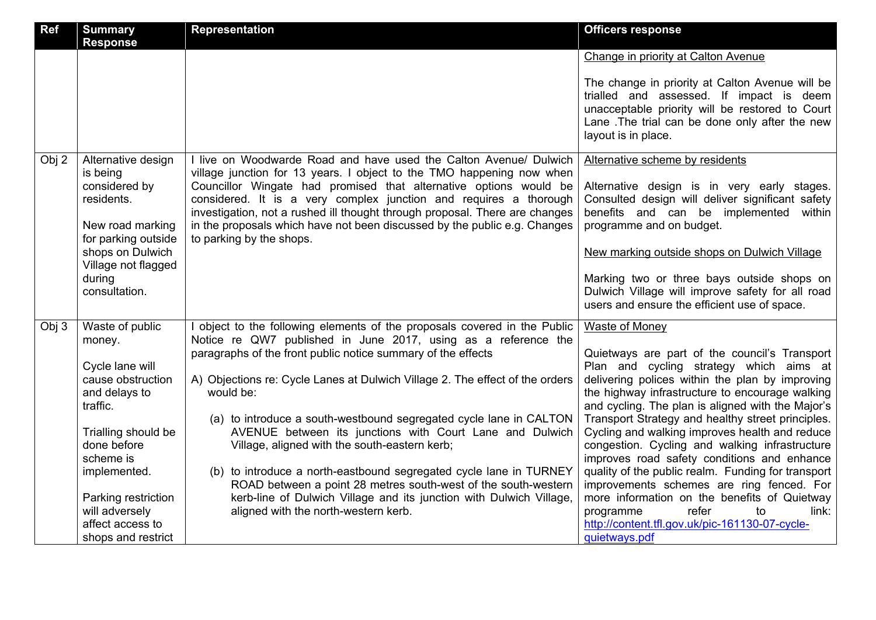| Ref   | <b>Summary</b><br><b>Response</b>                                                  | <b>Representation</b>                                                                                                                                                                                                                                                                                                                                                                                   | <b>Officers response</b>                                                                                                                                                                                                |
|-------|------------------------------------------------------------------------------------|---------------------------------------------------------------------------------------------------------------------------------------------------------------------------------------------------------------------------------------------------------------------------------------------------------------------------------------------------------------------------------------------------------|-------------------------------------------------------------------------------------------------------------------------------------------------------------------------------------------------------------------------|
|       |                                                                                    |                                                                                                                                                                                                                                                                                                                                                                                                         | Change in priority at Calton Avenue                                                                                                                                                                                     |
|       |                                                                                    |                                                                                                                                                                                                                                                                                                                                                                                                         | The change in priority at Calton Avenue will be<br>trialled and assessed. If impact is deem<br>unacceptable priority will be restored to Court<br>Lane. The trial can be done only after the new<br>layout is in place. |
| Obj 2 | Alternative design                                                                 | I live on Woodwarde Road and have used the Calton Avenue/ Dulwich                                                                                                                                                                                                                                                                                                                                       | Alternative scheme by residents                                                                                                                                                                                         |
|       | is being<br>considered by<br>residents.<br>New road marking<br>for parking outside | village junction for 13 years. I object to the TMO happening now when<br>Councillor Wingate had promised that alternative options would be<br>considered. It is a very complex junction and requires a thorough<br>investigation, not a rushed ill thought through proposal. There are changes<br>in the proposals which have not been discussed by the public e.g. Changes<br>to parking by the shops. | Alternative design is in very early stages.<br>Consulted design will deliver significant safety<br>benefits and can be implemented<br>within<br>programme and on budget.                                                |
|       | shops on Dulwich                                                                   |                                                                                                                                                                                                                                                                                                                                                                                                         | New marking outside shops on Dulwich Village                                                                                                                                                                            |
|       | Village not flagged<br>during<br>consultation.                                     |                                                                                                                                                                                                                                                                                                                                                                                                         | Marking two or three bays outside shops on<br>Dulwich Village will improve safety for all road<br>users and ensure the efficient use of space.                                                                          |
| Obj 3 | Waste of public                                                                    | I object to the following elements of the proposals covered in the Public                                                                                                                                                                                                                                                                                                                               | <b>Waste of Money</b>                                                                                                                                                                                                   |
|       | money.                                                                             | Notice re QW7 published in June 2017, using as a reference the<br>paragraphs of the front public notice summary of the effects                                                                                                                                                                                                                                                                          | Quietways are part of the council's Transport                                                                                                                                                                           |
|       | Cycle lane will<br>cause obstruction                                               | A) Objections re: Cycle Lanes at Dulwich Village 2. The effect of the orders                                                                                                                                                                                                                                                                                                                            | Plan and cycling strategy which aims at<br>delivering polices within the plan by improving                                                                                                                              |
|       | and delays to<br>traffic.                                                          | would be:                                                                                                                                                                                                                                                                                                                                                                                               | the highway infrastructure to encourage walking<br>and cycling. The plan is aligned with the Major's                                                                                                                    |
|       | Trialling should be                                                                | (a) to introduce a south-westbound segregated cycle lane in CALTON<br>AVENUE between its junctions with Court Lane and Dulwich                                                                                                                                                                                                                                                                          | Transport Strategy and healthy street principles.<br>Cycling and walking improves health and reduce                                                                                                                     |
|       | done before<br>scheme is                                                           | Village, aligned with the south-eastern kerb;                                                                                                                                                                                                                                                                                                                                                           | congestion. Cycling and walking infrastructure<br>improves road safety conditions and enhance                                                                                                                           |
|       | implemented.                                                                       | (b) to introduce a north-eastbound segregated cycle lane in TURNEY<br>ROAD between a point 28 metres south-west of the south-western                                                                                                                                                                                                                                                                    | quality of the public realm. Funding for transport<br>improvements schemes are ring fenced. For                                                                                                                         |
|       | Parking restriction                                                                | kerb-line of Dulwich Village and its junction with Dulwich Village,                                                                                                                                                                                                                                                                                                                                     | more information on the benefits of Quietway                                                                                                                                                                            |
|       | will adversely<br>affect access to                                                 | aligned with the north-western kerb.                                                                                                                                                                                                                                                                                                                                                                    | refer<br>programme<br>to<br>link:                                                                                                                                                                                       |
|       | shops and restrict                                                                 |                                                                                                                                                                                                                                                                                                                                                                                                         | http://content.tfl.gov.uk/pic-161130-07-cycle-<br>quietways.pdf                                                                                                                                                         |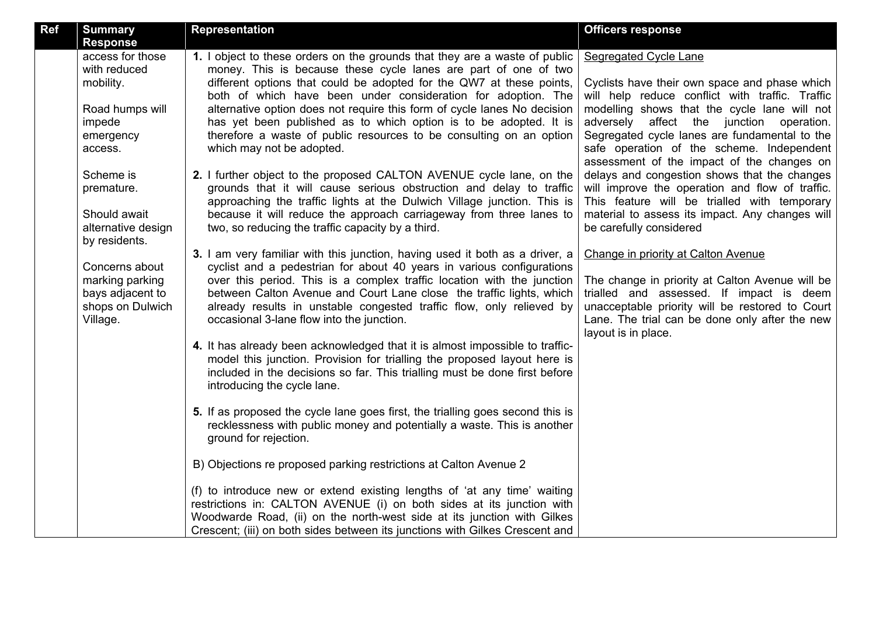| <b>Ref</b> | <b>Summary</b><br><b>Response</b>                                                                                                                                                                                                                                             | <b>Representation</b>                                                                                                                                                                                                                                                                                                                                                                                                                                                                                                                                                                                                                                                                                                                                                                                                                                                                                                                                                                                                                                                                                                                                                                                                                                                                                                                                                                                                                                                                                                                                                                                                                                                                                                                                                                                                                                                                                                                                                                                                                                                                                                                                                                 | <b>Officers response</b>                                                                                                                                                                                                                                                                                                                                                                                                                                                                                                                                                                                                                                                                                                                                                                                                                                             |
|------------|-------------------------------------------------------------------------------------------------------------------------------------------------------------------------------------------------------------------------------------------------------------------------------|---------------------------------------------------------------------------------------------------------------------------------------------------------------------------------------------------------------------------------------------------------------------------------------------------------------------------------------------------------------------------------------------------------------------------------------------------------------------------------------------------------------------------------------------------------------------------------------------------------------------------------------------------------------------------------------------------------------------------------------------------------------------------------------------------------------------------------------------------------------------------------------------------------------------------------------------------------------------------------------------------------------------------------------------------------------------------------------------------------------------------------------------------------------------------------------------------------------------------------------------------------------------------------------------------------------------------------------------------------------------------------------------------------------------------------------------------------------------------------------------------------------------------------------------------------------------------------------------------------------------------------------------------------------------------------------------------------------------------------------------------------------------------------------------------------------------------------------------------------------------------------------------------------------------------------------------------------------------------------------------------------------------------------------------------------------------------------------------------------------------------------------------------------------------------------------|----------------------------------------------------------------------------------------------------------------------------------------------------------------------------------------------------------------------------------------------------------------------------------------------------------------------------------------------------------------------------------------------------------------------------------------------------------------------------------------------------------------------------------------------------------------------------------------------------------------------------------------------------------------------------------------------------------------------------------------------------------------------------------------------------------------------------------------------------------------------|
|            | access for those<br>with reduced<br>mobility.<br>Road humps will<br>impede<br>emergency<br>access.<br>Scheme is<br>premature.<br>Should await<br>alternative design<br>by residents.<br>Concerns about<br>marking parking<br>bays adjacent to<br>shops on Dulwich<br>Village. | 1. I object to these orders on the grounds that they are a waste of public<br>money. This is because these cycle lanes are part of one of two<br>different options that could be adopted for the QW7 at these points,<br>both of which have been under consideration for adoption. The<br>alternative option does not require this form of cycle lanes No decision<br>has yet been published as to which option is to be adopted. It is<br>therefore a waste of public resources to be consulting on an option<br>which may not be adopted.<br>2. I further object to the proposed CALTON AVENUE cycle lane, on the<br>grounds that it will cause serious obstruction and delay to traffic<br>approaching the traffic lights at the Dulwich Village junction. This is<br>because it will reduce the approach carriageway from three lanes to<br>two, so reducing the traffic capacity by a third.<br>3. I am very familiar with this junction, having used it both as a driver, a<br>cyclist and a pedestrian for about 40 years in various configurations<br>over this period. This is a complex traffic location with the junction<br>between Calton Avenue and Court Lane close the traffic lights, which<br>already results in unstable congested traffic flow, only relieved by<br>occasional 3-lane flow into the junction.<br>4. It has already been acknowledged that it is almost impossible to traffic-<br>model this junction. Provision for trialling the proposed layout here is<br>included in the decisions so far. This trialling must be done first before<br>introducing the cycle lane.<br>5. If as proposed the cycle lane goes first, the trialling goes second this is<br>recklessness with public money and potentially a waste. This is another<br>ground for rejection.<br>B) Objections re proposed parking restrictions at Calton Avenue 2<br>(f) to introduce new or extend existing lengths of 'at any time' waiting<br>restrictions in: CALTON AVENUE (i) on both sides at its junction with<br>Woodwarde Road, (ii) on the north-west side at its junction with Gilkes<br>Crescent; (iii) on both sides between its junctions with Gilkes Crescent and | Segregated Cycle Lane<br>Cyclists have their own space and phase which<br>will help reduce conflict with traffic. Traffic<br>modelling shows that the cycle lane will not<br>adversely affect the junction operation.<br>Segregated cycle lanes are fundamental to the<br>safe operation of the scheme. Independent<br>assessment of the impact of the changes on<br>delays and congestion shows that the changes<br>will improve the operation and flow of traffic.<br>This feature will be trialled with temporary<br>material to assess its impact. Any changes will<br>be carefully considered<br>Change in priority at Calton Avenue<br>The change in priority at Calton Avenue will be<br>trialled and assessed. If impact is deem<br>unacceptable priority will be restored to Court<br>Lane. The trial can be done only after the new<br>layout is in place. |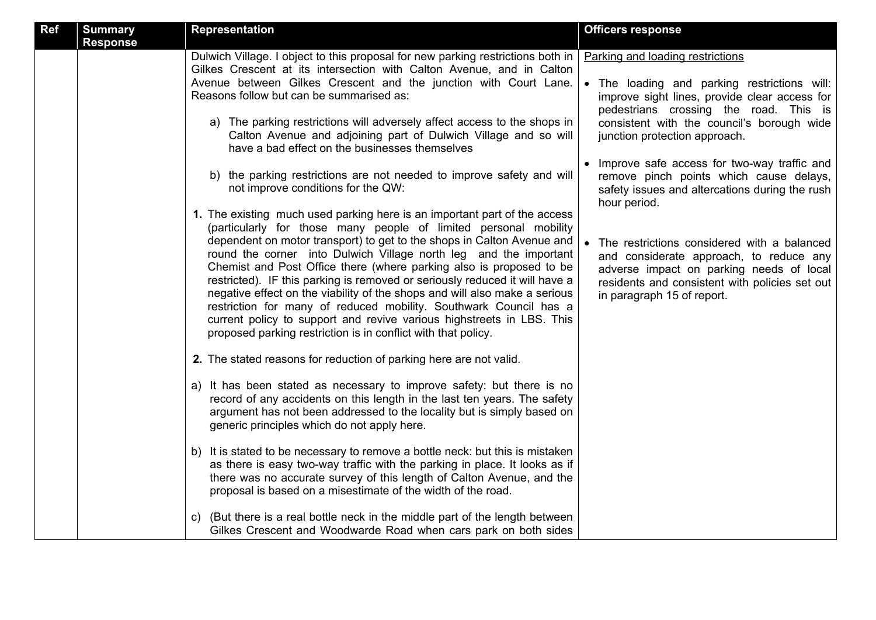| Ref | <b>Summary</b><br><b>Response</b> | <b>Representation</b>                                                                                                                                                                                                                                                                                                                                                                                                                                                                                                                                                                                                                                                                                                                                                                                                                                                                                                                                                                                                                                                                                                                                                                                                                                                                                                                                                                                                                                                                                                                                                                                                                                                                                                                                                                                                                                                                                                                                                                                                                                                                   | <b>Officers response</b>                                                                                                                                                                                                                                                                                                                                                                                                                                                                                                                                                                                                                       |
|-----|-----------------------------------|-----------------------------------------------------------------------------------------------------------------------------------------------------------------------------------------------------------------------------------------------------------------------------------------------------------------------------------------------------------------------------------------------------------------------------------------------------------------------------------------------------------------------------------------------------------------------------------------------------------------------------------------------------------------------------------------------------------------------------------------------------------------------------------------------------------------------------------------------------------------------------------------------------------------------------------------------------------------------------------------------------------------------------------------------------------------------------------------------------------------------------------------------------------------------------------------------------------------------------------------------------------------------------------------------------------------------------------------------------------------------------------------------------------------------------------------------------------------------------------------------------------------------------------------------------------------------------------------------------------------------------------------------------------------------------------------------------------------------------------------------------------------------------------------------------------------------------------------------------------------------------------------------------------------------------------------------------------------------------------------------------------------------------------------------------------------------------------------|------------------------------------------------------------------------------------------------------------------------------------------------------------------------------------------------------------------------------------------------------------------------------------------------------------------------------------------------------------------------------------------------------------------------------------------------------------------------------------------------------------------------------------------------------------------------------------------------------------------------------------------------|
|     |                                   | Dulwich Village. I object to this proposal for new parking restrictions both in<br>Gilkes Crescent at its intersection with Calton Avenue, and in Calton<br>Avenue between Gilkes Crescent and the junction with Court Lane.<br>Reasons follow but can be summarised as:<br>a) The parking restrictions will adversely affect access to the shops in<br>Calton Avenue and adjoining part of Dulwich Village and so will<br>have a bad effect on the businesses themselves<br>b) the parking restrictions are not needed to improve safety and will<br>not improve conditions for the QW:<br>1. The existing much used parking here is an important part of the access<br>(particularly for those many people of limited personal mobility<br>dependent on motor transport) to get to the shops in Calton Avenue and<br>round the corner into Dulwich Village north leg and the important<br>Chemist and Post Office there (where parking also is proposed to be<br>restricted). IF this parking is removed or seriously reduced it will have a<br>negative effect on the viability of the shops and will also make a serious<br>restriction for many of reduced mobility. Southwark Council has a<br>current policy to support and revive various highstreets in LBS. This<br>proposed parking restriction is in conflict with that policy.<br>2. The stated reasons for reduction of parking here are not valid.<br>a) It has been stated as necessary to improve safety: but there is no<br>record of any accidents on this length in the last ten years. The safety<br>argument has not been addressed to the locality but is simply based on<br>generic principles which do not apply here.<br>b) It is stated to be necessary to remove a bottle neck: but this is mistaken<br>as there is easy two-way traffic with the parking in place. It looks as if<br>there was no accurate survey of this length of Calton Avenue, and the<br>proposal is based on a misestimate of the width of the road.<br>c) (But there is a real bottle neck in the middle part of the length between | Parking and loading restrictions<br>• The loading and parking restrictions will:<br>improve sight lines, provide clear access for<br>pedestrians crossing the road. This is<br>consistent with the council's borough wide<br>junction protection approach.<br>• Improve safe access for two-way traffic and<br>remove pinch points which cause delays,<br>safety issues and altercations during the rush<br>hour period.<br>The restrictions considered with a balanced<br>and considerate approach, to reduce any<br>adverse impact on parking needs of local<br>residents and consistent with policies set out<br>in paragraph 15 of report. |
|     |                                   | Gilkes Crescent and Woodwarde Road when cars park on both sides                                                                                                                                                                                                                                                                                                                                                                                                                                                                                                                                                                                                                                                                                                                                                                                                                                                                                                                                                                                                                                                                                                                                                                                                                                                                                                                                                                                                                                                                                                                                                                                                                                                                                                                                                                                                                                                                                                                                                                                                                         |                                                                                                                                                                                                                                                                                                                                                                                                                                                                                                                                                                                                                                                |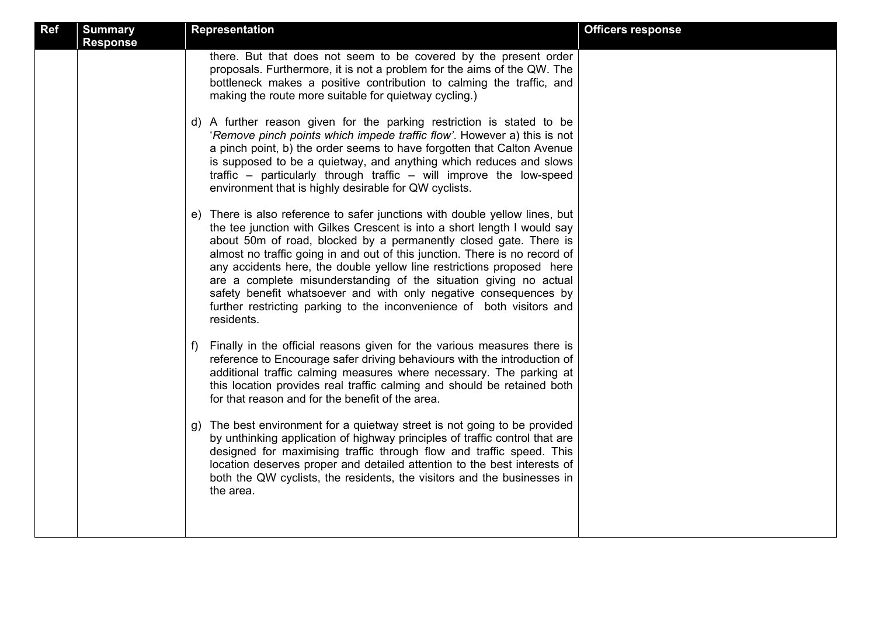| <b>Ref</b> | <b>Summary</b><br><b>Response</b> | <b>Representation</b>                                                                                                                                                                                                                                                                                                                                                                                                                                                                                                                                                                                               | <b>Officers response</b> |
|------------|-----------------------------------|---------------------------------------------------------------------------------------------------------------------------------------------------------------------------------------------------------------------------------------------------------------------------------------------------------------------------------------------------------------------------------------------------------------------------------------------------------------------------------------------------------------------------------------------------------------------------------------------------------------------|--------------------------|
|            |                                   | there. But that does not seem to be covered by the present order<br>proposals. Furthermore, it is not a problem for the aims of the QW. The<br>bottleneck makes a positive contribution to calming the traffic, and<br>making the route more suitable for quietway cycling.)                                                                                                                                                                                                                                                                                                                                        |                          |
|            |                                   | d) A further reason given for the parking restriction is stated to be<br>'Remove pinch points which impede traffic flow'. However a) this is not<br>a pinch point, b) the order seems to have forgotten that Calton Avenue<br>is supposed to be a quietway, and anything which reduces and slows<br>traffic - particularly through traffic - will improve the low-speed<br>environment that is highly desirable for QW cyclists.                                                                                                                                                                                    |                          |
|            |                                   | e) There is also reference to safer junctions with double yellow lines, but<br>the tee junction with Gilkes Crescent is into a short length I would say<br>about 50m of road, blocked by a permanently closed gate. There is<br>almost no traffic going in and out of this junction. There is no record of<br>any accidents here, the double yellow line restrictions proposed here<br>are a complete misunderstanding of the situation giving no actual<br>safety benefit whatsoever and with only negative consequences by<br>further restricting parking to the inconvenience of both visitors and<br>residents. |                          |
|            |                                   | Finally in the official reasons given for the various measures there is<br>f)<br>reference to Encourage safer driving behaviours with the introduction of<br>additional traffic calming measures where necessary. The parking at<br>this location provides real traffic calming and should be retained both<br>for that reason and for the benefit of the area.                                                                                                                                                                                                                                                     |                          |
|            |                                   | g) The best environment for a quietway street is not going to be provided<br>by unthinking application of highway principles of traffic control that are<br>designed for maximising traffic through flow and traffic speed. This<br>location deserves proper and detailed attention to the best interests of<br>both the QW cyclists, the residents, the visitors and the businesses in<br>the area.                                                                                                                                                                                                                |                          |
|            |                                   |                                                                                                                                                                                                                                                                                                                                                                                                                                                                                                                                                                                                                     |                          |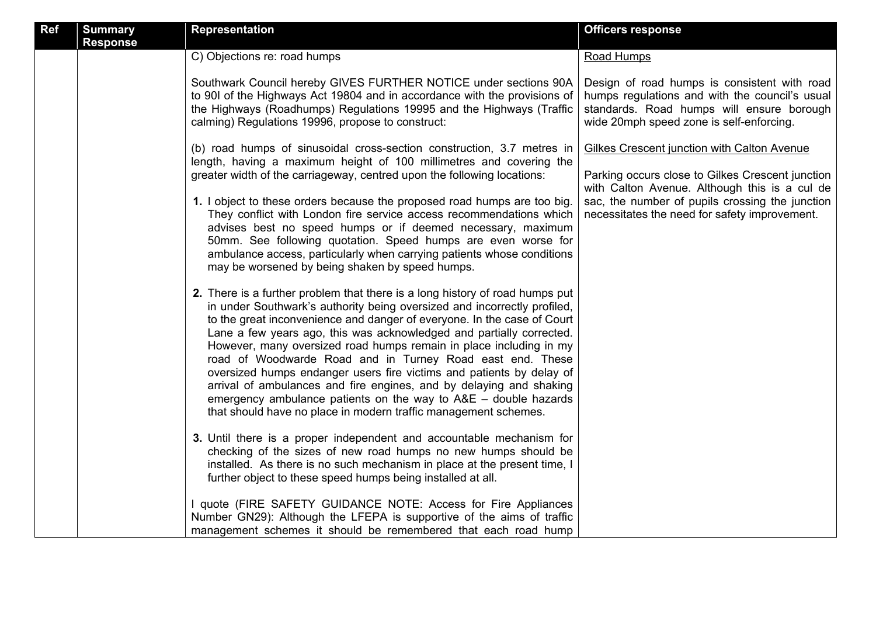| Ref | <b>Summary</b><br><b>Response</b> | <b>Representation</b>                                                                                                                                                                                                                                                                                                                                                                                                                                                                                                                                                                                                                                                                                                                 | <b>Officers response</b>                                                                                                                                                                |
|-----|-----------------------------------|---------------------------------------------------------------------------------------------------------------------------------------------------------------------------------------------------------------------------------------------------------------------------------------------------------------------------------------------------------------------------------------------------------------------------------------------------------------------------------------------------------------------------------------------------------------------------------------------------------------------------------------------------------------------------------------------------------------------------------------|-----------------------------------------------------------------------------------------------------------------------------------------------------------------------------------------|
|     |                                   | C) Objections re: road humps                                                                                                                                                                                                                                                                                                                                                                                                                                                                                                                                                                                                                                                                                                          | Road Humps                                                                                                                                                                              |
|     |                                   | Southwark Council hereby GIVES FURTHER NOTICE under sections 90A<br>to 901 of the Highways Act 19804 and in accordance with the provisions of<br>the Highways (Roadhumps) Regulations 19995 and the Highways (Traffic<br>calming) Regulations 19996, propose to construct:                                                                                                                                                                                                                                                                                                                                                                                                                                                            | Design of road humps is consistent with road<br>humps regulations and with the council's usual<br>standards. Road humps will ensure borough<br>wide 20mph speed zone is self-enforcing. |
|     |                                   | (b) road humps of sinusoidal cross-section construction, 3.7 metres in<br>length, having a maximum height of 100 millimetres and covering the<br>greater width of the carriageway, centred upon the following locations:                                                                                                                                                                                                                                                                                                                                                                                                                                                                                                              | Gilkes Crescent junction with Calton Avenue<br>Parking occurs close to Gilkes Crescent junction<br>with Calton Avenue. Although this is a cul de                                        |
|     |                                   | 1. I object to these orders because the proposed road humps are too big.<br>They conflict with London fire service access recommendations which<br>advises best no speed humps or if deemed necessary, maximum<br>50mm. See following quotation. Speed humps are even worse for<br>ambulance access, particularly when carrying patients whose conditions<br>may be worsened by being shaken by speed humps.                                                                                                                                                                                                                                                                                                                          | sac, the number of pupils crossing the junction<br>necessitates the need for safety improvement.                                                                                        |
|     |                                   | 2. There is a further problem that there is a long history of road humps put<br>in under Southwark's authority being oversized and incorrectly profiled,<br>to the great inconvenience and danger of everyone. In the case of Court<br>Lane a few years ago, this was acknowledged and partially corrected.<br>However, many oversized road humps remain in place including in my<br>road of Woodwarde Road and in Turney Road east end. These<br>oversized humps endanger users fire victims and patients by delay of<br>arrival of ambulances and fire engines, and by delaying and shaking<br>emergency ambulance patients on the way to $AAE$ – double hazards<br>that should have no place in modern traffic management schemes. |                                                                                                                                                                                         |
|     |                                   | 3. Until there is a proper independent and accountable mechanism for<br>checking of the sizes of new road humps no new humps should be<br>installed. As there is no such mechanism in place at the present time, I<br>further object to these speed humps being installed at all.                                                                                                                                                                                                                                                                                                                                                                                                                                                     |                                                                                                                                                                                         |
|     |                                   | I quote (FIRE SAFETY GUIDANCE NOTE: Access for Fire Appliances<br>Number GN29): Although the LFEPA is supportive of the aims of traffic<br>management schemes it should be remembered that each road hump                                                                                                                                                                                                                                                                                                                                                                                                                                                                                                                             |                                                                                                                                                                                         |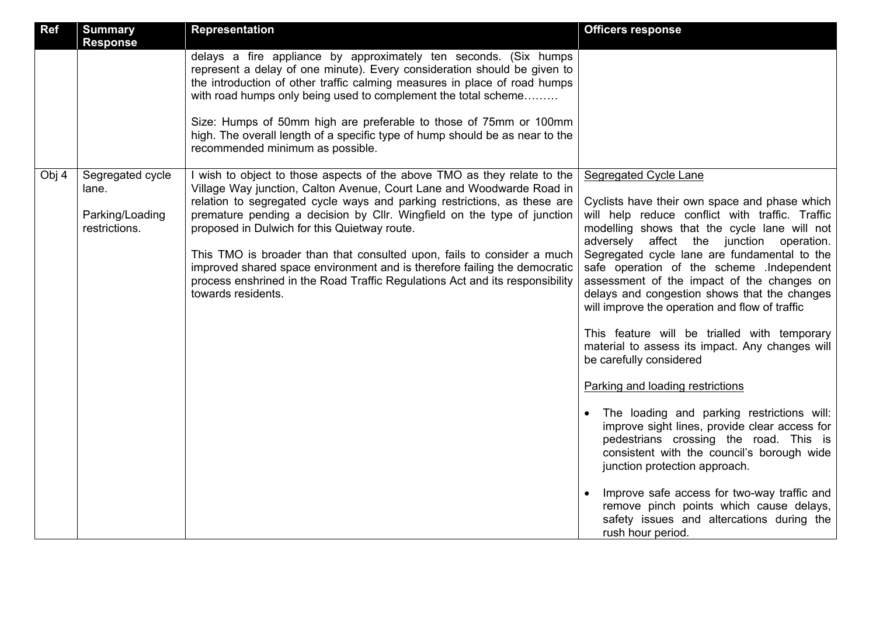| <b>Ref</b> | <b>Summary</b><br><b>Response</b>                             | <b>Representation</b>                                                                                                                                                                                                                                                                                                                                                                                                                                                                                                                                                                                                 | <b>Officers response</b>                                                                                                                                                                                                                                                                                                                                                                                                                                                                                                                                                                                                                                                                                                                                                                                                                                                                                                                                                                                                 |
|------------|---------------------------------------------------------------|-----------------------------------------------------------------------------------------------------------------------------------------------------------------------------------------------------------------------------------------------------------------------------------------------------------------------------------------------------------------------------------------------------------------------------------------------------------------------------------------------------------------------------------------------------------------------------------------------------------------------|--------------------------------------------------------------------------------------------------------------------------------------------------------------------------------------------------------------------------------------------------------------------------------------------------------------------------------------------------------------------------------------------------------------------------------------------------------------------------------------------------------------------------------------------------------------------------------------------------------------------------------------------------------------------------------------------------------------------------------------------------------------------------------------------------------------------------------------------------------------------------------------------------------------------------------------------------------------------------------------------------------------------------|
|            |                                                               | delays a fire appliance by approximately ten seconds. (Six humps<br>represent a delay of one minute). Every consideration should be given to<br>the introduction of other traffic calming measures in place of road humps<br>with road humps only being used to complement the total scheme<br>Size: Humps of 50mm high are preferable to those of 75mm or 100mm<br>high. The overall length of a specific type of hump should be as near to the                                                                                                                                                                      |                                                                                                                                                                                                                                                                                                                                                                                                                                                                                                                                                                                                                                                                                                                                                                                                                                                                                                                                                                                                                          |
|            |                                                               | recommended minimum as possible.                                                                                                                                                                                                                                                                                                                                                                                                                                                                                                                                                                                      |                                                                                                                                                                                                                                                                                                                                                                                                                                                                                                                                                                                                                                                                                                                                                                                                                                                                                                                                                                                                                          |
| Obj 4      | Segregated cycle<br>lane.<br>Parking/Loading<br>restrictions. | I wish to object to those aspects of the above TMO as they relate to the<br>Village Way junction, Calton Avenue, Court Lane and Woodwarde Road in<br>relation to segregated cycle ways and parking restrictions, as these are<br>premature pending a decision by Cllr. Wingfield on the type of junction<br>proposed in Dulwich for this Quietway route.<br>This TMO is broader than that consulted upon, fails to consider a much<br>improved shared space environment and is therefore failing the democratic<br>process enshrined in the Road Traffic Regulations Act and its responsibility<br>towards residents. | Segregated Cycle Lane<br>Cyclists have their own space and phase which<br>will help reduce conflict with traffic. Traffic<br>modelling shows that the cycle lane will not<br>adversely affect the junction operation.<br>Segregated cycle lane are fundamental to the<br>safe operation of the scheme .Independent<br>assessment of the impact of the changes on<br>delays and congestion shows that the changes<br>will improve the operation and flow of traffic<br>This feature will be trialled with temporary<br>material to assess its impact. Any changes will<br>be carefully considered<br>Parking and loading restrictions<br>The loading and parking restrictions will:<br>improve sight lines, provide clear access for<br>pedestrians crossing the road. This is<br>consistent with the council's borough wide<br>junction protection approach.<br>Improve safe access for two-way traffic and<br>remove pinch points which cause delays,<br>safety issues and altercations during the<br>rush hour period. |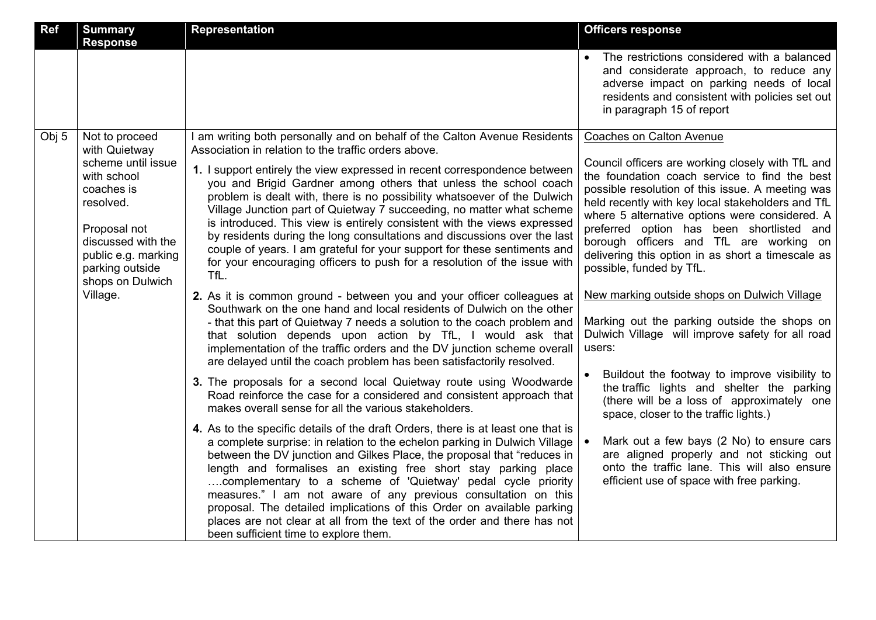| <b>Ref</b> | <b>Summary</b><br><b>Response</b>                                                                                                                                                                               | <b>Representation</b>                                                                                                                                                                                                                                                                                                                                                                                                                                                                                                                                                                                                                                                                                                                                                                                                                                                                                                                                                                                                                                                                                                                                                                                                                                                                                                                                                                                                                                                                                                                                                                                                                                                                                                                                                                                                                                                                                                                                                                                                          | <b>Officers response</b>                                                                                                                                                                                                                                                                                                                                                                                                                                                                                                                                                                                                                                                                                                                                                                                                                                                                                                                                                                                      |
|------------|-----------------------------------------------------------------------------------------------------------------------------------------------------------------------------------------------------------------|--------------------------------------------------------------------------------------------------------------------------------------------------------------------------------------------------------------------------------------------------------------------------------------------------------------------------------------------------------------------------------------------------------------------------------------------------------------------------------------------------------------------------------------------------------------------------------------------------------------------------------------------------------------------------------------------------------------------------------------------------------------------------------------------------------------------------------------------------------------------------------------------------------------------------------------------------------------------------------------------------------------------------------------------------------------------------------------------------------------------------------------------------------------------------------------------------------------------------------------------------------------------------------------------------------------------------------------------------------------------------------------------------------------------------------------------------------------------------------------------------------------------------------------------------------------------------------------------------------------------------------------------------------------------------------------------------------------------------------------------------------------------------------------------------------------------------------------------------------------------------------------------------------------------------------------------------------------------------------------------------------------------------------|---------------------------------------------------------------------------------------------------------------------------------------------------------------------------------------------------------------------------------------------------------------------------------------------------------------------------------------------------------------------------------------------------------------------------------------------------------------------------------------------------------------------------------------------------------------------------------------------------------------------------------------------------------------------------------------------------------------------------------------------------------------------------------------------------------------------------------------------------------------------------------------------------------------------------------------------------------------------------------------------------------------|
|            |                                                                                                                                                                                                                 |                                                                                                                                                                                                                                                                                                                                                                                                                                                                                                                                                                                                                                                                                                                                                                                                                                                                                                                                                                                                                                                                                                                                                                                                                                                                                                                                                                                                                                                                                                                                                                                                                                                                                                                                                                                                                                                                                                                                                                                                                                | The restrictions considered with a balanced<br>and considerate approach, to reduce any<br>adverse impact on parking needs of local<br>residents and consistent with policies set out<br>in paragraph 15 of report                                                                                                                                                                                                                                                                                                                                                                                                                                                                                                                                                                                                                                                                                                                                                                                             |
| Obj 5      | Not to proceed<br>with Quietway<br>scheme until issue<br>with school<br>coaches is<br>resolved.<br>Proposal not<br>discussed with the<br>public e.g. marking<br>parking outside<br>shops on Dulwich<br>Village. | am writing both personally and on behalf of the Calton Avenue Residents<br>Association in relation to the traffic orders above.<br>1. I support entirely the view expressed in recent correspondence between<br>you and Brigid Gardner among others that unless the school coach<br>problem is dealt with, there is no possibility whatsoever of the Dulwich<br>Village Junction part of Quietway 7 succeeding, no matter what scheme<br>is introduced. This view is entirely consistent with the views expressed<br>by residents during the long consultations and discussions over the last<br>couple of years. I am grateful for your support for these sentiments and<br>for your encouraging officers to push for a resolution of the issue with<br>TfL.<br>2. As it is common ground - between you and your officer colleagues at<br>Southwark on the one hand and local residents of Dulwich on the other<br>- that this part of Quietway 7 needs a solution to the coach problem and<br>that solution depends upon action by TfL, I would ask that<br>implementation of the traffic orders and the DV junction scheme overall<br>are delayed until the coach problem has been satisfactorily resolved.<br>3. The proposals for a second local Quietway route using Woodwarde<br>Road reinforce the case for a considered and consistent approach that<br>makes overall sense for all the various stakeholders.<br>4. As to the specific details of the draft Orders, there is at least one that is<br>a complete surprise: in relation to the echelon parking in Dulwich Village<br>between the DV junction and Gilkes Place, the proposal that "reduces in<br>length and formalises an existing free short stay parking place<br>complementary to a scheme of 'Quietway' pedal cycle priority<br>measures." I am not aware of any previous consultation on this<br>proposal. The detailed implications of this Order on available parking<br>places are not clear at all from the text of the order and there has not | Coaches on Calton Avenue<br>Council officers are working closely with TfL and<br>the foundation coach service to find the best<br>possible resolution of this issue. A meeting was<br>held recently with key local stakeholders and TfL<br>where 5 alternative options were considered. A<br>preferred option has been shortlisted and<br>borough officers and TfL are working on<br>delivering this option in as short a timescale as<br>possible, funded by TfL.<br>New marking outside shops on Dulwich Village<br>Marking out the parking outside the shops on<br>Dulwich Village will improve safety for all road<br>users:<br>Buildout the footway to improve visibility to<br>the traffic lights and shelter the parking<br>(there will be a loss of approximately one<br>space, closer to the traffic lights.)<br>Mark out a few bays (2 No) to ensure cars<br>are aligned properly and not sticking out<br>onto the traffic lane. This will also ensure<br>efficient use of space with free parking. |
|            |                                                                                                                                                                                                                 | been sufficient time to explore them.                                                                                                                                                                                                                                                                                                                                                                                                                                                                                                                                                                                                                                                                                                                                                                                                                                                                                                                                                                                                                                                                                                                                                                                                                                                                                                                                                                                                                                                                                                                                                                                                                                                                                                                                                                                                                                                                                                                                                                                          |                                                                                                                                                                                                                                                                                                                                                                                                                                                                                                                                                                                                                                                                                                                                                                                                                                                                                                                                                                                                               |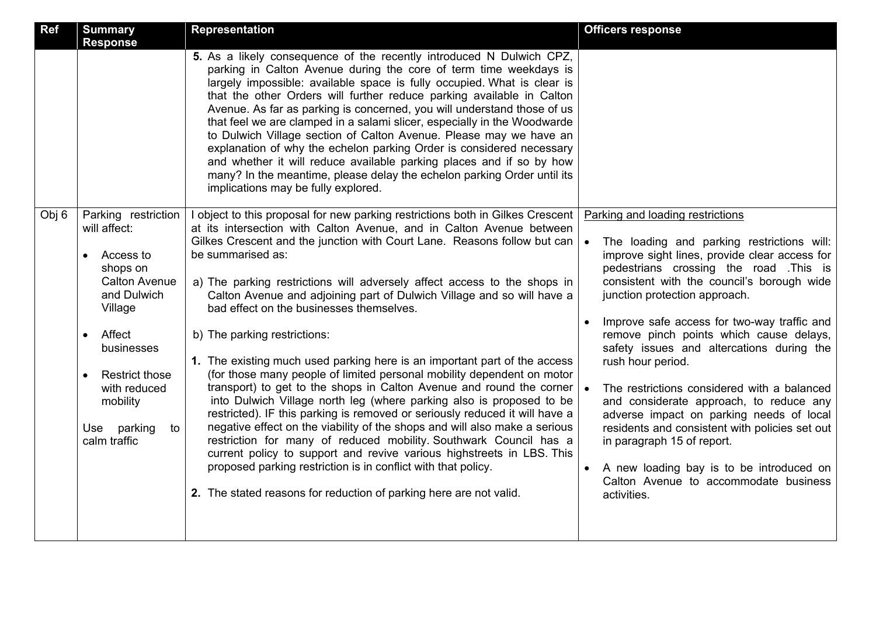| Ref   | <b>Summary</b><br><b>Response</b>                                                                                                                                                                                                                          | <b>Representation</b>                                                                                                                                                                                                                                                                                                                                                                                                                                                                                                                                                                                                                                                                                                                                                                                                                                                                                                                                                                                                                                                                                                                                                                                                                              | <b>Officers response</b>                                                                                                                                                                                                                                                                                                                                                                                                                                                                                                                                                                                                                                                                                                                       |
|-------|------------------------------------------------------------------------------------------------------------------------------------------------------------------------------------------------------------------------------------------------------------|----------------------------------------------------------------------------------------------------------------------------------------------------------------------------------------------------------------------------------------------------------------------------------------------------------------------------------------------------------------------------------------------------------------------------------------------------------------------------------------------------------------------------------------------------------------------------------------------------------------------------------------------------------------------------------------------------------------------------------------------------------------------------------------------------------------------------------------------------------------------------------------------------------------------------------------------------------------------------------------------------------------------------------------------------------------------------------------------------------------------------------------------------------------------------------------------------------------------------------------------------|------------------------------------------------------------------------------------------------------------------------------------------------------------------------------------------------------------------------------------------------------------------------------------------------------------------------------------------------------------------------------------------------------------------------------------------------------------------------------------------------------------------------------------------------------------------------------------------------------------------------------------------------------------------------------------------------------------------------------------------------|
|       |                                                                                                                                                                                                                                                            | 5. As a likely consequence of the recently introduced N Dulwich CPZ,<br>parking in Calton Avenue during the core of term time weekdays is<br>largely impossible: available space is fully occupied. What is clear is<br>that the other Orders will further reduce parking available in Calton<br>Avenue. As far as parking is concerned, you will understand those of us<br>that feel we are clamped in a salami slicer, especially in the Woodwarde<br>to Dulwich Village section of Calton Avenue. Please may we have an<br>explanation of why the echelon parking Order is considered necessary<br>and whether it will reduce available parking places and if so by how<br>many? In the meantime, please delay the echelon parking Order until its<br>implications may be fully explored.                                                                                                                                                                                                                                                                                                                                                                                                                                                       |                                                                                                                                                                                                                                                                                                                                                                                                                                                                                                                                                                                                                                                                                                                                                |
| Obj 6 | Parking restriction<br>will affect:<br>Access to<br>shops on<br><b>Calton Avenue</b><br>and Dulwich<br>Village<br>Affect<br>$\bullet$<br>businesses<br><b>Restrict those</b><br>$\bullet$<br>with reduced<br>mobility<br>Use parking<br>to<br>calm traffic | I object to this proposal for new parking restrictions both in Gilkes Crescent<br>at its intersection with Calton Avenue, and in Calton Avenue between<br>Gilkes Crescent and the junction with Court Lane. Reasons follow but can<br>be summarised as:<br>a) The parking restrictions will adversely affect access to the shops in<br>Calton Avenue and adjoining part of Dulwich Village and so will have a<br>bad effect on the businesses themselves.<br>b) The parking restrictions:<br>1. The existing much used parking here is an important part of the access<br>(for those many people of limited personal mobility dependent on motor<br>transport) to get to the shops in Calton Avenue and round the corner<br>into Dulwich Village north leg (where parking also is proposed to be<br>restricted). IF this parking is removed or seriously reduced it will have a<br>negative effect on the viability of the shops and will also make a serious<br>restriction for many of reduced mobility. Southwark Council has a<br>current policy to support and revive various highstreets in LBS. This<br>proposed parking restriction is in conflict with that policy.<br>2. The stated reasons for reduction of parking here are not valid. | Parking and loading restrictions<br>The loading and parking restrictions will:<br>improve sight lines, provide clear access for<br>pedestrians crossing the road. This is<br>consistent with the council's borough wide<br>junction protection approach.<br>Improve safe access for two-way traffic and<br>remove pinch points which cause delays,<br>safety issues and altercations during the<br>rush hour period.<br>The restrictions considered with a balanced<br>and considerate approach, to reduce any<br>adverse impact on parking needs of local<br>residents and consistent with policies set out<br>in paragraph 15 of report.<br>A new loading bay is to be introduced on<br>Calton Avenue to accommodate business<br>activities. |
|       |                                                                                                                                                                                                                                                            |                                                                                                                                                                                                                                                                                                                                                                                                                                                                                                                                                                                                                                                                                                                                                                                                                                                                                                                                                                                                                                                                                                                                                                                                                                                    |                                                                                                                                                                                                                                                                                                                                                                                                                                                                                                                                                                                                                                                                                                                                                |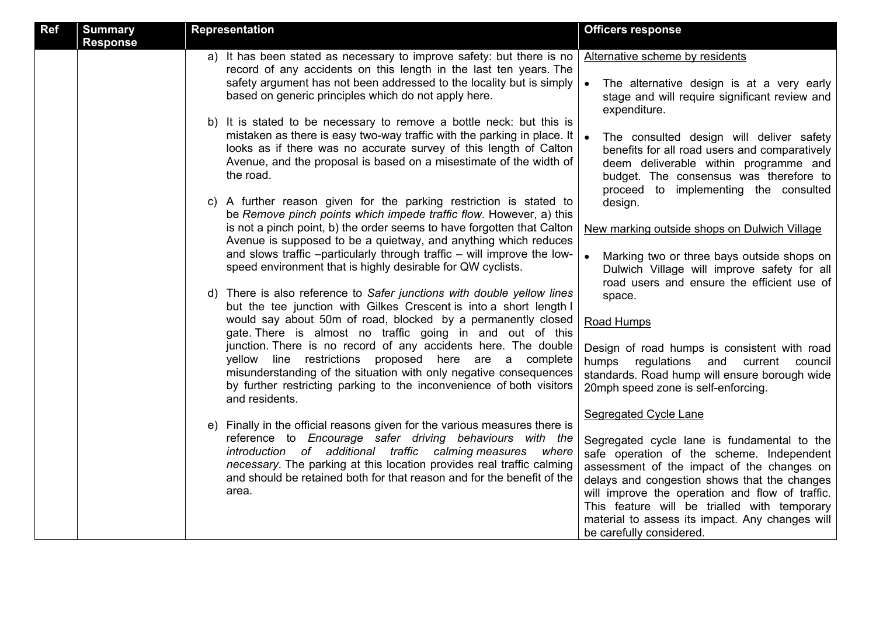| <b>Representation</b>                                                                                                                                                                                                                                                                                                                                                                                                                                                                                                                                                                                                                                                                                                                                                                                                                                                                                                                                                                                                                                                                                                                                                                                                                                                                                                                                                                                                                                                                                                                                                                                                                                                                                                                                                                                                                                                           | <b>Officers response</b>                                                                                                                                                                                                                                                                                                                                                                                                                                                                                                                                                                                                                                                                                                                                                                                                                                                                                   |
|---------------------------------------------------------------------------------------------------------------------------------------------------------------------------------------------------------------------------------------------------------------------------------------------------------------------------------------------------------------------------------------------------------------------------------------------------------------------------------------------------------------------------------------------------------------------------------------------------------------------------------------------------------------------------------------------------------------------------------------------------------------------------------------------------------------------------------------------------------------------------------------------------------------------------------------------------------------------------------------------------------------------------------------------------------------------------------------------------------------------------------------------------------------------------------------------------------------------------------------------------------------------------------------------------------------------------------------------------------------------------------------------------------------------------------------------------------------------------------------------------------------------------------------------------------------------------------------------------------------------------------------------------------------------------------------------------------------------------------------------------------------------------------------------------------------------------------------------------------------------------------|------------------------------------------------------------------------------------------------------------------------------------------------------------------------------------------------------------------------------------------------------------------------------------------------------------------------------------------------------------------------------------------------------------------------------------------------------------------------------------------------------------------------------------------------------------------------------------------------------------------------------------------------------------------------------------------------------------------------------------------------------------------------------------------------------------------------------------------------------------------------------------------------------------|
| a) It has been stated as necessary to improve safety: but there is no<br>record of any accidents on this length in the last ten years. The<br>safety argument has not been addressed to the locality but is simply<br>based on generic principles which do not apply here.<br>b) It is stated to be necessary to remove a bottle neck: but this is<br>mistaken as there is easy two-way traffic with the parking in place. It<br>looks as if there was no accurate survey of this length of Calton<br>Avenue, and the proposal is based on a misestimate of the width of<br>the road.<br>c) A further reason given for the parking restriction is stated to<br>be Remove pinch points which impede traffic flow. However, a) this<br>is not a pinch point, b) the order seems to have forgotten that Calton<br>Avenue is supposed to be a quietway, and anything which reduces<br>and slows traffic -particularly through traffic - will improve the low-<br>speed environment that is highly desirable for QW cyclists.<br>d) There is also reference to Safer junctions with double yellow lines<br>but the tee junction with Gilkes Crescent is into a short length I<br>would say about 50m of road, blocked by a permanently closed<br>gate. There is almost no traffic going in and out of this<br>junction. There is no record of any accidents here. The double<br>yellow line restrictions proposed here are a complete<br>misunderstanding of the situation with only negative consequences<br>by further restricting parking to the inconvenience of both visitors<br>and residents.<br>e) Finally in the official reasons given for the various measures there is<br>reference to Encourage safer driving behaviours with the<br>introduction of additional traffic calming measures where<br>necessary. The parking at this location provides real traffic calming | Alternative scheme by residents<br>The alternative design is at a very early<br>stage and will require significant review and<br>expenditure.<br>The consulted design will deliver safety<br>benefits for all road users and comparatively<br>deem deliverable within programme and<br>budget. The consensus was therefore to<br>proceed to implementing the consulted<br>design.<br>New marking outside shops on Dulwich Village<br>Marking two or three bays outside shops on<br>Dulwich Village will improve safety for all<br>road users and ensure the efficient use of<br>space.<br>Road Humps<br>Design of road humps is consistent with road<br>humps regulations and current council<br>standards. Road hump will ensure borough wide<br>20mph speed zone is self-enforcing.<br>Segregated Cycle Lane<br>Segregated cycle lane is fundamental to the<br>safe operation of the scheme. Independent |
| and should be retained both for that reason and for the benefit of the<br>area.                                                                                                                                                                                                                                                                                                                                                                                                                                                                                                                                                                                                                                                                                                                                                                                                                                                                                                                                                                                                                                                                                                                                                                                                                                                                                                                                                                                                                                                                                                                                                                                                                                                                                                                                                                                                 | assessment of the impact of the changes on<br>delays and congestion shows that the changes<br>will improve the operation and flow of traffic.<br>This feature will be trialled with temporary<br>material to assess its impact. Any changes will<br>be carefully considered.                                                                                                                                                                                                                                                                                                                                                                                                                                                                                                                                                                                                                               |
|                                                                                                                                                                                                                                                                                                                                                                                                                                                                                                                                                                                                                                                                                                                                                                                                                                                                                                                                                                                                                                                                                                                                                                                                                                                                                                                                                                                                                                                                                                                                                                                                                                                                                                                                                                                                                                                                                 |                                                                                                                                                                                                                                                                                                                                                                                                                                                                                                                                                                                                                                                                                                                                                                                                                                                                                                            |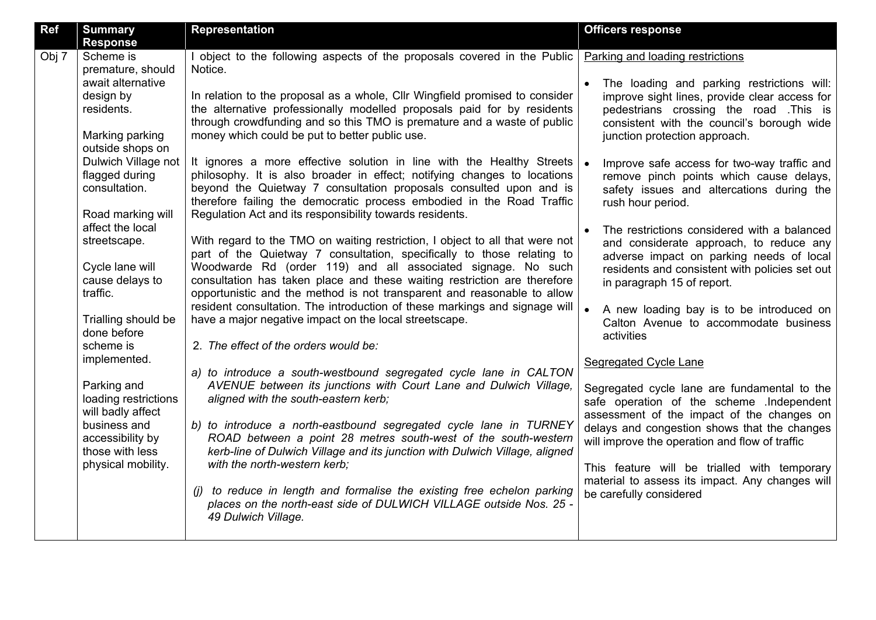| Ref   | <b>Summary</b><br><b>Response</b>                                                   | <b>Representation</b>                                                                                                                                                                                                                                                                                                                                                         | <b>Officers response</b>                                                                                                                                                                                             |
|-------|-------------------------------------------------------------------------------------|-------------------------------------------------------------------------------------------------------------------------------------------------------------------------------------------------------------------------------------------------------------------------------------------------------------------------------------------------------------------------------|----------------------------------------------------------------------------------------------------------------------------------------------------------------------------------------------------------------------|
| Obj 7 | Scheme is<br>premature, should                                                      | I object to the following aspects of the proposals covered in the Public<br>Notice.                                                                                                                                                                                                                                                                                           | Parking and loading restrictions                                                                                                                                                                                     |
|       | await alternative<br>design by<br>residents.<br>Marking parking<br>outside shops on | In relation to the proposal as a whole, Cllr Wingfield promised to consider<br>the alternative professionally modelled proposals paid for by residents<br>through crowdfunding and so this TMO is premature and a waste of public<br>money which could be put to better public use.                                                                                           | The loading and parking restrictions will:<br>improve sight lines, provide clear access for<br>pedestrians crossing the road .This is<br>consistent with the council's borough wide<br>junction protection approach. |
|       | Dulwich Village not<br>flagged during<br>consultation.<br>Road marking will         | It ignores a more effective solution in line with the Healthy Streets<br>philosophy. It is also broader in effect; notifying changes to locations<br>beyond the Quietway 7 consultation proposals consulted upon and is<br>therefore failing the democratic process embodied in the Road Traffic<br>Regulation Act and its responsibility towards residents.                  | Improve safe access for two-way traffic and<br>remove pinch points which cause delays,<br>safety issues and altercations during the<br>rush hour period.                                                             |
|       | affect the local<br>streetscape.<br>Cycle lane will<br>cause delays to<br>traffic.  | With regard to the TMO on waiting restriction, I object to all that were not<br>part of the Quietway 7 consultation, specifically to those relating to<br>Woodwarde Rd (order 119) and all associated signage. No such<br>consultation has taken place and these waiting restriction are therefore<br>opportunistic and the method is not transparent and reasonable to allow | The restrictions considered with a balanced<br>and considerate approach, to reduce any<br>adverse impact on parking needs of local<br>residents and consistent with policies set out<br>in paragraph 15 of report.   |
|       | Trialling should be<br>done before                                                  | resident consultation. The introduction of these markings and signage will<br>have a major negative impact on the local streetscape.                                                                                                                                                                                                                                          | A new loading bay is to be introduced on<br>Calton Avenue to accommodate business<br>activities                                                                                                                      |
|       | scheme is<br>implemented.                                                           | 2. The effect of the orders would be:<br>a) to introduce a south-westbound segregated cycle lane in CALTON                                                                                                                                                                                                                                                                    | Segregated Cycle Lane                                                                                                                                                                                                |
|       | Parking and<br>loading restrictions<br>will badly affect                            | AVENUE between its junctions with Court Lane and Dulwich Village,<br>aligned with the south-eastern kerb;                                                                                                                                                                                                                                                                     | Segregated cycle lane are fundamental to the<br>safe operation of the scheme .Independent<br>assessment of the impact of the changes on                                                                              |
|       | business and<br>accessibility by<br>those with less<br>physical mobility.           | b) to introduce a north-eastbound segregated cycle lane in TURNEY<br>ROAD between a point 28 metres south-west of the south-western<br>kerb-line of Dulwich Village and its junction with Dulwich Village, aligned<br>with the north-western kerb;                                                                                                                            | delays and congestion shows that the changes<br>will improve the operation and flow of traffic<br>This feature will be trialled with temporary                                                                       |
|       |                                                                                     | (j) to reduce in length and formalise the existing free echelon parking<br>places on the north-east side of DULWICH VILLAGE outside Nos. 25 -<br>49 Dulwich Village.                                                                                                                                                                                                          | material to assess its impact. Any changes will<br>be carefully considered                                                                                                                                           |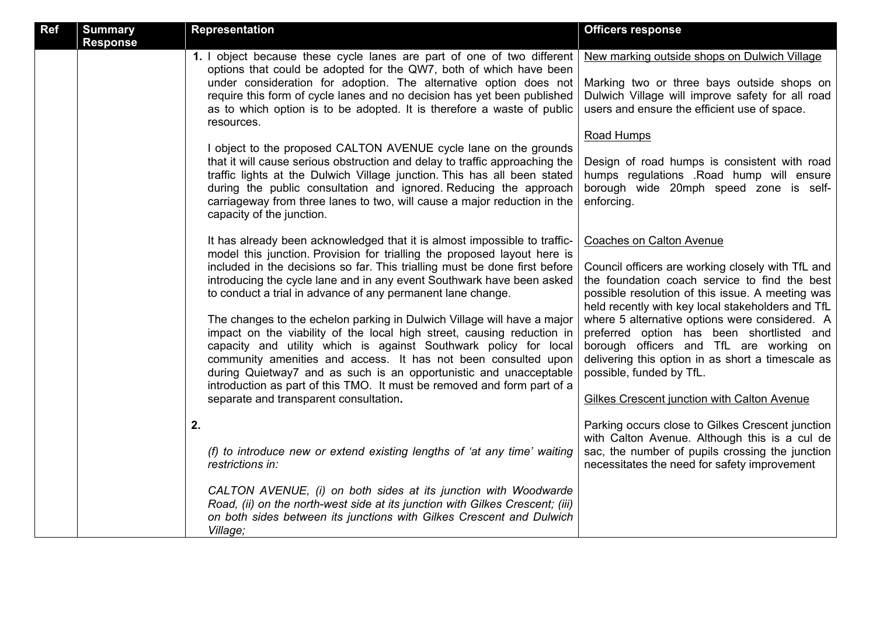| Ref | <b>Summary</b><br><b>Response</b> | <b>Representation</b>                                                                                                                                                                                                                                                                                                                                                                                                                                                                                                                                                                                                                                                                                                                                                                                                                                            | <b>Officers response</b>                                                                                                                                                                                                                                                                                                                                                                                                                                                                                                 |
|-----|-----------------------------------|------------------------------------------------------------------------------------------------------------------------------------------------------------------------------------------------------------------------------------------------------------------------------------------------------------------------------------------------------------------------------------------------------------------------------------------------------------------------------------------------------------------------------------------------------------------------------------------------------------------------------------------------------------------------------------------------------------------------------------------------------------------------------------------------------------------------------------------------------------------|--------------------------------------------------------------------------------------------------------------------------------------------------------------------------------------------------------------------------------------------------------------------------------------------------------------------------------------------------------------------------------------------------------------------------------------------------------------------------------------------------------------------------|
|     |                                   | 1. I object because these cycle lanes are part of one of two different<br>options that could be adopted for the QW7, both of which have been<br>under consideration for adoption. The alternative option does not<br>require this form of cycle lanes and no decision has yet been published<br>as to which option is to be adopted. It is therefore a waste of public<br>resources.                                                                                                                                                                                                                                                                                                                                                                                                                                                                             | New marking outside shops on Dulwich Village<br>Marking two or three bays outside shops on<br>Dulwich Village will improve safety for all road<br>users and ensure the efficient use of space.                                                                                                                                                                                                                                                                                                                           |
|     |                                   | I object to the proposed CALTON AVENUE cycle lane on the grounds<br>that it will cause serious obstruction and delay to traffic approaching the<br>traffic lights at the Dulwich Village junction. This has all been stated<br>during the public consultation and ignored. Reducing the approach<br>carriageway from three lanes to two, will cause a major reduction in the<br>capacity of the junction.                                                                                                                                                                                                                                                                                                                                                                                                                                                        | Road Humps<br>Design of road humps is consistent with road<br>humps regulations .Road hump will ensure<br>borough wide 20mph speed zone is self-<br>enforcing.                                                                                                                                                                                                                                                                                                                                                           |
|     |                                   | It has already been acknowledged that it is almost impossible to traffic-<br>model this junction. Provision for trialling the proposed layout here is<br>included in the decisions so far. This trialling must be done first before<br>introducing the cycle lane and in any event Southwark have been asked<br>to conduct a trial in advance of any permanent lane change.<br>The changes to the echelon parking in Dulwich Village will have a major<br>impact on the viability of the local high street, causing reduction in<br>capacity and utility which is against Southwark policy for local<br>community amenities and access. It has not been consulted upon<br>during Quietway7 and as such is an opportunistic and unacceptable<br>introduction as part of this TMO. It must be removed and form part of a<br>separate and transparent consultation. | Coaches on Calton Avenue<br>Council officers are working closely with TfL and<br>the foundation coach service to find the best<br>possible resolution of this issue. A meeting was<br>held recently with key local stakeholders and TfL<br>where 5 alternative options were considered. A<br>preferred option has been shortlisted and<br>borough officers and TfL are working on<br>delivering this option in as short a timescale as<br>possible, funded by TfL.<br><b>Gilkes Crescent junction with Calton Avenue</b> |
|     |                                   | 2.<br>(f) to introduce new or extend existing lengths of 'at any time' waiting<br>restrictions in:                                                                                                                                                                                                                                                                                                                                                                                                                                                                                                                                                                                                                                                                                                                                                               | Parking occurs close to Gilkes Crescent junction<br>with Calton Avenue. Although this is a cul de<br>sac, the number of pupils crossing the junction<br>necessitates the need for safety improvement                                                                                                                                                                                                                                                                                                                     |
|     |                                   | CALTON AVENUE, (i) on both sides at its junction with Woodwarde<br>Road, (ii) on the north-west side at its junction with Gilkes Crescent; (iii)<br>on both sides between its junctions with Gilkes Crescent and Dulwich<br>Village;                                                                                                                                                                                                                                                                                                                                                                                                                                                                                                                                                                                                                             |                                                                                                                                                                                                                                                                                                                                                                                                                                                                                                                          |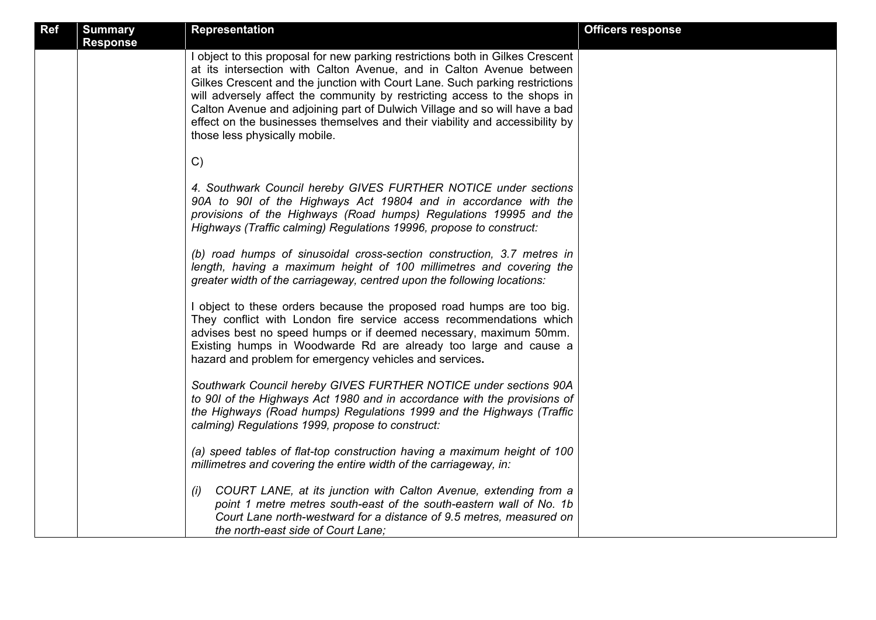| <b>Ref</b> | <b>Summary</b><br><b>Response</b> | <b>Representation</b>                                                                                                                                                                                                                                                                                                                                                                                                                                                                                             | <b>Officers response</b> |
|------------|-----------------------------------|-------------------------------------------------------------------------------------------------------------------------------------------------------------------------------------------------------------------------------------------------------------------------------------------------------------------------------------------------------------------------------------------------------------------------------------------------------------------------------------------------------------------|--------------------------|
|            |                                   | I object to this proposal for new parking restrictions both in Gilkes Crescent<br>at its intersection with Calton Avenue, and in Calton Avenue between<br>Gilkes Crescent and the junction with Court Lane. Such parking restrictions<br>will adversely affect the community by restricting access to the shops in<br>Calton Avenue and adjoining part of Dulwich Village and so will have a bad<br>effect on the businesses themselves and their viability and accessibility by<br>those less physically mobile. |                          |
|            |                                   | C)                                                                                                                                                                                                                                                                                                                                                                                                                                                                                                                |                          |
|            |                                   | 4. Southwark Council hereby GIVES FURTHER NOTICE under sections<br>90A to 90I of the Highways Act 19804 and in accordance with the<br>provisions of the Highways (Road humps) Regulations 19995 and the<br>Highways (Traffic calming) Regulations 19996, propose to construct:                                                                                                                                                                                                                                    |                          |
|            |                                   | (b) road humps of sinusoidal cross-section construction, 3.7 metres in<br>length, having a maximum height of 100 millimetres and covering the<br>greater width of the carriageway, centred upon the following locations:                                                                                                                                                                                                                                                                                          |                          |
|            |                                   | I object to these orders because the proposed road humps are too big.<br>They conflict with London fire service access recommendations which<br>advises best no speed humps or if deemed necessary, maximum 50mm.<br>Existing humps in Woodwarde Rd are already too large and cause a<br>hazard and problem for emergency vehicles and services.                                                                                                                                                                  |                          |
|            |                                   | Southwark Council hereby GIVES FURTHER NOTICE under sections 90A<br>to 90I of the Highways Act 1980 and in accordance with the provisions of<br>the Highways (Road humps) Regulations 1999 and the Highways (Traffic<br>calming) Regulations 1999, propose to construct:                                                                                                                                                                                                                                          |                          |
|            |                                   | (a) speed tables of flat-top construction having a maximum height of 100<br>millimetres and covering the entire width of the carriageway, in:                                                                                                                                                                                                                                                                                                                                                                     |                          |
|            |                                   | COURT LANE, at its junction with Calton Avenue, extending from a<br>(i)<br>point 1 metre metres south-east of the south-eastern wall of No. 1b<br>Court Lane north-westward for a distance of 9.5 metres, measured on<br>the north-east side of Court Lane:                                                                                                                                                                                                                                                       |                          |